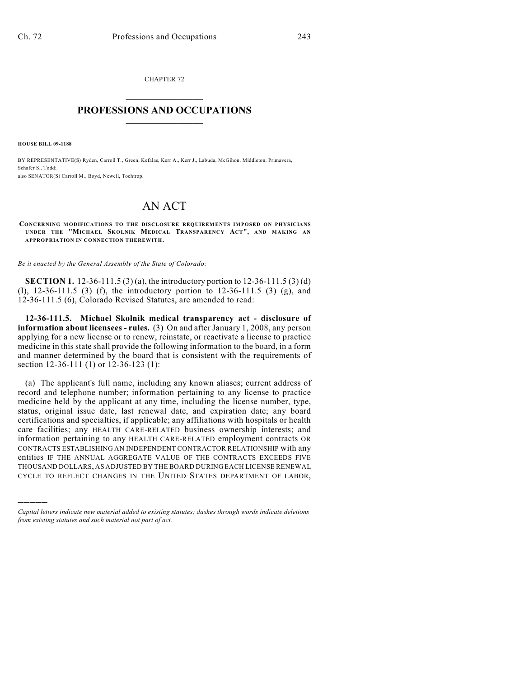CHAPTER 72  $\overline{\phantom{a}}$  . The set of the set of the set of the set of the set of the set of the set of the set of the set of the set of the set of the set of the set of the set of the set of the set of the set of the set of the set o

## **PROFESSIONS AND OCCUPATIONS**  $\frac{1}{2}$  ,  $\frac{1}{2}$  ,  $\frac{1}{2}$  ,  $\frac{1}{2}$  ,  $\frac{1}{2}$  ,  $\frac{1}{2}$

**HOUSE BILL 09-1188**

)))))

BY REPRESENTATIVE(S) Ryden, Carroll T., Green, Kefalas, Kerr A., Kerr J., Labuda, McGihon, Middleton, Primavera, Schafer S., Todd; also SENATOR(S) Carroll M., Boyd, Newell, Tochtrop.

## AN ACT

**CONCERNING MODIFICATIONS TO THE DISCLOSURE REQUIREMENTS IMPOSED ON PHYSICIANS UNDER THE "MICHAEL SK OLNIK MEDICAL TRANSPARENCY ACT", AND MAKING AN APPROPRIATION IN CONNECTION THEREWITH.**

*Be it enacted by the General Assembly of the State of Colorado:*

**SECTION 1.** 12-36-111.5 (3) (a), the introductory portion to 12-36-111.5 (3) (d) (I), 12-36-111.5 (3) (f), the introductory portion to 12-36-111.5 (3) (g), and 12-36-111.5 (6), Colorado Revised Statutes, are amended to read:

**12-36-111.5. Michael Skolnik medical transparency act - disclosure of information about licensees - rules.** (3) On and after January 1, 2008, any person applying for a new license or to renew, reinstate, or reactivate a license to practice medicine in this state shall provide the following information to the board, in a form and manner determined by the board that is consistent with the requirements of section 12-36-111 (1) or 12-36-123 (1):

(a) The applicant's full name, including any known aliases; current address of record and telephone number; information pertaining to any license to practice medicine held by the applicant at any time, including the license number, type, status, original issue date, last renewal date, and expiration date; any board certifications and specialties, if applicable; any affiliations with hospitals or health care facilities; any HEALTH CARE-RELATED business ownership interests; and information pertaining to any HEALTH CARE-RELATED employment contracts OR CONTRACTS ESTABLISHING AN INDEPENDENT CONTRACTOR RELATIONSHIP with any entities IF THE ANNUAL AGGREGATE VALUE OF THE CONTRACTS EXCEEDS FIVE THOUSAND DOLLARS, AS ADJUSTED BY THE BOARD DURING EACH LICENSE RENEWAL CYCLE TO REFLECT CHANGES IN THE UNITED STATES DEPARTMENT OF LABOR,

*Capital letters indicate new material added to existing statutes; dashes through words indicate deletions from existing statutes and such material not part of act.*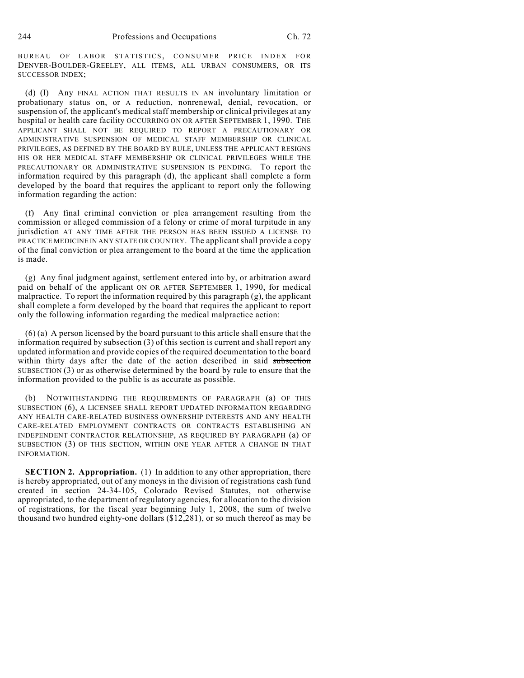BUREAU OF LABOR STATISTICS, CONSUMER PRICE INDEX FOR DENVER-BOULDER-GREELEY, ALL ITEMS, ALL URBAN CONSUMERS, OR ITS SUCCESSOR INDEX;

(d) (I) Any FINAL ACTION THAT RESULTS IN AN involuntary limitation or probationary status on, or A reduction, nonrenewal, denial, revocation, or suspension of, the applicant's medical staff membership or clinical privileges at any hospital or health care facility OCCURRING ON OR AFTER SEPTEMBER 1, 1990. THE APPLICANT SHALL NOT BE REQUIRED TO REPORT A PRECAUTIONARY OR ADMINISTRATIVE SUSPENSION OF MEDICAL STAFF MEMBERSHIP OR CLINICAL PRIVILEGES, AS DEFINED BY THE BOARD BY RULE, UNLESS THE APPLICANT RESIGNS HIS OR HER MEDICAL STAFF MEMBERSHIP OR CLINICAL PRIVILEGES WHILE THE PRECAUTIONARY OR ADMINISTRATIVE SUSPENSION IS PENDING. To report the information required by this paragraph (d), the applicant shall complete a form developed by the board that requires the applicant to report only the following information regarding the action:

(f) Any final criminal conviction or plea arrangement resulting from the commission or alleged commission of a felony or crime of moral turpitude in any jurisdiction AT ANY TIME AFTER THE PERSON HAS BEEN ISSUED A LICENSE TO PRACTICE MEDICINE IN ANY STATE OR COUNTRY. The applicant shall provide a copy of the final conviction or plea arrangement to the board at the time the application is made.

(g) Any final judgment against, settlement entered into by, or arbitration award paid on behalf of the applicant ON OR AFTER SEPTEMBER 1, 1990, for medical malpractice. To report the information required by this paragraph (g), the applicant shall complete a form developed by the board that requires the applicant to report only the following information regarding the medical malpractice action:

(6) (a) A person licensed by the board pursuant to this article shall ensure that the information required by subsection (3) of this section is current and shall report any updated information and provide copies of the required documentation to the board within thirty days after the date of the action described in said subsection SUBSECTION (3) or as otherwise determined by the board by rule to ensure that the information provided to the public is as accurate as possible.

(b) NOTWITHSTANDING THE REQUIREMENTS OF PARAGRAPH (a) OF THIS SUBSECTION (6), A LICENSEE SHALL REPORT UPDATED INFORMATION REGARDING ANY HEALTH CARE-RELATED BUSINESS OWNERSHIP INTERESTS AND ANY HEALTH CARE-RELATED EMPLOYMENT CONTRACTS OR CONTRACTS ESTABLISHING AN INDEPENDENT CONTRACTOR RELATIONSHIP, AS REQUIRED BY PARAGRAPH (a) OF SUBSECTION (3) OF THIS SECTION, WITHIN ONE YEAR AFTER A CHANGE IN THAT INFORMATION.

**SECTION 2. Appropriation.** (1) In addition to any other appropriation, there is hereby appropriated, out of any moneys in the division of registrations cash fund created in section 24-34-105, Colorado Revised Statutes, not otherwise appropriated, to the department of regulatory agencies, for allocation to the division of registrations, for the fiscal year beginning July 1, 2008, the sum of twelve thousand two hundred eighty-one dollars (\$12,281), or so much thereof as may be